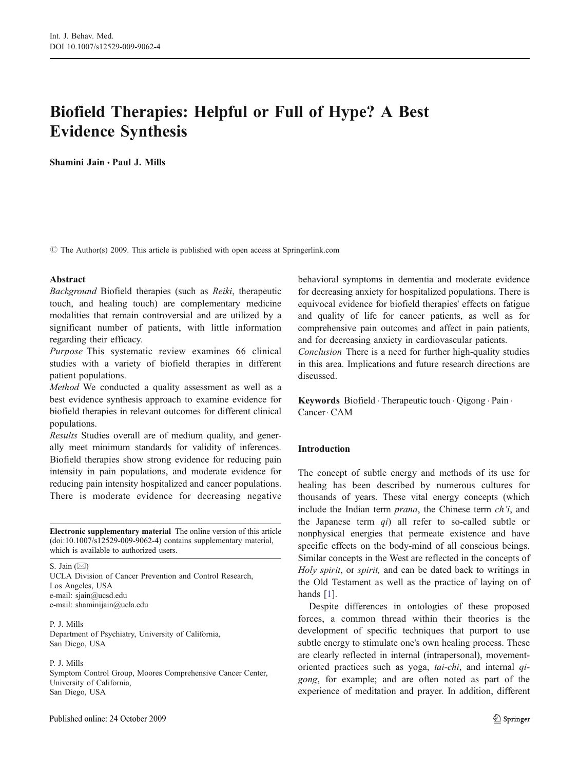# Biofield Therapies: Helpful or Full of Hype? A Best Evidence Synthesis

Shamini Jain *&* Paul J. Mills

 $\circ$  The Author(s) 2009. This article is published with open access at Springerlink.com

#### Abstract

Background Biofield therapies (such as Reiki, therapeutic touch, and healing touch) are complementary medicine modalities that remain controversial and are utilized by a significant number of patients, with little information regarding their efficacy.

Purpose This systematic review examines 66 clinical studies with a variety of biofield therapies in different patient populations.

Method We conducted a quality assessment as well as a best evidence synthesis approach to examine evidence for biofield therapies in relevant outcomes for different clinical populations.

Results Studies overall are of medium quality, and generally meet minimum standards for validity of inferences. Biofield therapies show strong evidence for reducing pain intensity in pain populations, and moderate evidence for reducing pain intensity hospitalized and cancer populations. There is moderate evidence for decreasing negative

Electronic supplementary material The online version of this article (doi:[10.1007/s12529-009-9062-4](http://dx.doi.org/10.1007/s12529-009-9062-4)) contains supplementary material, which is available to authorized users.

S. Jain (*\**) UCLA Division of Cancer Prevention and Control Research, Los Angeles, USA e-mail: sjain@ucsd.edu e-mail: shaminijain@ucla.edu

P. J. Mills Department of Psychiatry, University of California, San Diego, USA

## P. J. Mills

Symptom Control Group, Moores Comprehensive Cancer Center, University of California, San Diego, USA

behavioral symptoms in dementia and moderate evidence for decreasing anxiety for hospitalized populations. There is equivocal evidence for biofield therapies' effects on fatigue and quality of life for cancer patients, as well as for comprehensive pain outcomes and affect in pain patients, and for decreasing anxiety in cardiovascular patients. Conclusion There is a need for further high-quality studies in this area. Implications and future research directions are discussed.

Keywords Biofield . Therapeutic touch . Qigong . Pain . Cancer. CAM

#### Introduction

The concept of subtle energy and methods of its use for healing has been described by numerous cultures for thousands of years. These vital energy concepts (which include the Indian term prana, the Chinese term ch*'*i, and the Japanese term  $qi$ ) all refer to so-called subtle or nonphysical energies that permeate existence and have specific effects on the body-mind of all conscious beings. Similar concepts in the West are reflected in the concepts of Holy spirit, or spirit, and can be dated back to writings in the Old Testament as well as the practice of laying on of hands [[1\]](#page-13-0).

Despite differences in ontologies of these proposed forces, a common thread within their theories is the development of specific techniques that purport to use subtle energy to stimulate one's own healing process. These are clearly reflected in internal (intrapersonal), movementoriented practices such as yoga, tai-chi, and internal qigong, for example; and are often noted as part of the experience of meditation and prayer. In addition, different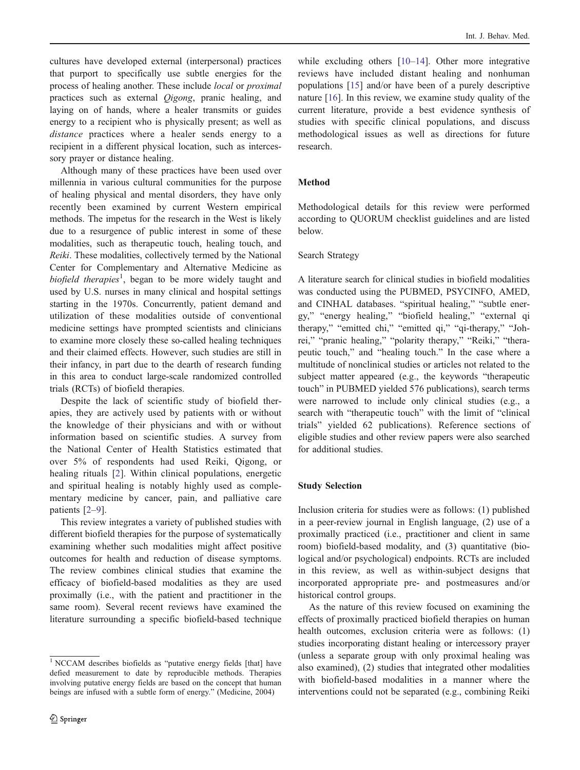cultures have developed external (interpersonal) practices that purport to specifically use subtle energies for the process of healing another. These include local or proximal practices such as external Qigong, pranic healing, and laying on of hands, where a healer transmits or guides energy to a recipient who is physically present; as well as distance practices where a healer sends energy to a recipient in a different physical location, such as intercessory prayer or distance healing.

Although many of these practices have been used over millennia in various cultural communities for the purpose of healing physical and mental disorders, they have only recently been examined by current Western empirical methods. The impetus for the research in the West is likely due to a resurgence of public interest in some of these modalities, such as therapeutic touch, healing touch, and Reiki. These modalities, collectively termed by the National Center for Complementary and Alternative Medicine as biofield therapies<sup>1</sup>, began to be more widely taught and used by U.S. nurses in many clinical and hospital settings starting in the 1970s. Concurrently, patient demand and utilization of these modalities outside of conventional medicine settings have prompted scientists and clinicians to examine more closely these so-called healing techniques and their claimed effects. However, such studies are still in their infancy, in part due to the dearth of research funding in this area to conduct large-scale randomized controlled trials (RCTs) of biofield therapies.

Despite the lack of scientific study of biofield therapies, they are actively used by patients with or without the knowledge of their physicians and with or without information based on scientific studies. A survey from the National Center of Health Statistics estimated that over 5% of respondents had used Reiki, Qigong, or healing rituals [[2\]](#page-13-0). Within clinical populations, energetic and spiritual healing is notably highly used as complementary medicine by cancer, pain, and palliative care patients [[2](#page-13-0)–[9\]](#page-13-0).

This review integrates a variety of published studies with different biofield therapies for the purpose of systematically examining whether such modalities might affect positive outcomes for health and reduction of disease symptoms. The review combines clinical studies that examine the efficacy of biofield-based modalities as they are used proximally (i.e., with the patient and practitioner in the same room). Several recent reviews have examined the literature surrounding a specific biofield-based technique

while excluding others [[10](#page-13-0)–[14\]](#page-13-0). Other more integrative reviews have included distant healing and nonhuman populations [[15\]](#page-13-0) and/or have been of a purely descriptive nature [[16\]](#page-13-0). In this review, we examine study quality of the current literature, provide a best evidence synthesis of studies with specific clinical populations, and discuss methodological issues as well as directions for future research.

## Method

Methodological details for this review were performed according to QUORUM checklist guidelines and are listed below.

## Search Strategy

A literature search for clinical studies in biofield modalities was conducted using the PUBMED, PSYCINFO, AMED, and CINHAL databases. "spiritual healing," "subtle energy," "energy healing," "biofield healing," "external qi therapy," "emitted chi," "emitted qi," "qi-therapy," "Johrei," "pranic healing," "polarity therapy," "Reiki," "therapeutic touch," and "healing touch." In the case where a multitude of nonclinical studies or articles not related to the subject matter appeared (e.g., the keywords "therapeutic touch" in PUBMED yielded 576 publications), search terms were narrowed to include only clinical studies (e.g., a search with "therapeutic touch" with the limit of "clinical trials" yielded 62 publications). Reference sections of eligible studies and other review papers were also searched for additional studies.

## Study Selection

Inclusion criteria for studies were as follows: (1) published in a peer-review journal in English language, (2) use of a proximally practiced (i.e., practitioner and client in same room) biofield-based modality, and (3) quantitative (biological and/or psychological) endpoints. RCTs are included in this review, as well as within-subject designs that incorporated appropriate pre- and postmeasures and/or historical control groups.

As the nature of this review focused on examining the effects of proximally practiced biofield therapies on human health outcomes, exclusion criteria were as follows: (1) studies incorporating distant healing or intercessory prayer (unless a separate group with only proximal healing was also examined), (2) studies that integrated other modalities with biofield-based modalities in a manner where the interventions could not be separated (e.g., combining Reiki

<sup>&</sup>lt;sup>1</sup> NCCAM describes biofields as "putative energy fields [that] have defied measurement to date by reproducible methods. Therapies involving putative energy fields are based on the concept that human beings are infused with a subtle form of energy." (Medicine, 2004)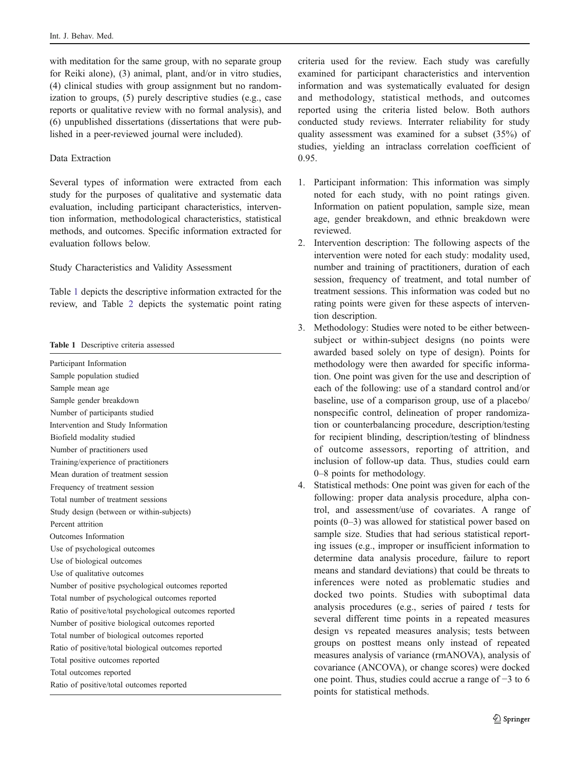with meditation for the same group, with no separate group for Reiki alone), (3) animal, plant, and/or in vitro studies, (4) clinical studies with group assignment but no randomization to groups, (5) purely descriptive studies (e.g., case reports or qualitative review with no formal analysis), and (6) unpublished dissertations (dissertations that were published in a peer-reviewed journal were included).

## Data Extraction

Several types of information were extracted from each study for the purposes of qualitative and systematic data evaluation, including participant characteristics, intervention information, methodological characteristics, statistical methods, and outcomes. Specific information extracted for evaluation follows below.

## Study Characteristics and Validity Assessment

Table 1 depicts the descriptive information extracted for the review, and Table [2](#page-3-0) depicts the systematic point rating

Table 1 Descriptive criteria assessed

| Participant Information                                 |
|---------------------------------------------------------|
| Sample population studied                               |
| Sample mean age                                         |
| Sample gender breakdown                                 |
| Number of participants studied                          |
| Intervention and Study Information                      |
| Biofield modality studied                               |
| Number of practitioners used                            |
| Training/experience of practitioners                    |
| Mean duration of treatment session                      |
| Frequency of treatment session                          |
| Total number of treatment sessions                      |
| Study design (between or within-subjects)               |
| Percent attrition                                       |
| Outcomes Information                                    |
| Use of psychological outcomes                           |
| Use of biological outcomes                              |
| Use of qualitative outcomes                             |
| Number of positive psychological outcomes reported      |
| Total number of psychological outcomes reported         |
| Ratio of positive/total psychological outcomes reported |
| Number of positive biological outcomes reported         |
| Total number of biological outcomes reported            |
| Ratio of positive/total biological outcomes reported    |
| Total positive outcomes reported                        |
| Total outcomes reported                                 |
| Ratio of positive/total outcomes reported               |

criteria used for the review. Each study was carefully examined for participant characteristics and intervention information and was systematically evaluated for design and methodology, statistical methods, and outcomes reported using the criteria listed below. Both authors conducted study reviews. Interrater reliability for study quality assessment was examined for a subset (35%) of studies, yielding an intraclass correlation coefficient of 0.95.

- 1. Participant information: This information was simply noted for each study, with no point ratings given. Information on patient population, sample size, mean age, gender breakdown, and ethnic breakdown were reviewed.
- 2. Intervention description: The following aspects of the intervention were noted for each study: modality used, number and training of practitioners, duration of each session, frequency of treatment, and total number of treatment sessions. This information was coded but no rating points were given for these aspects of intervention description.
- 3. Methodology: Studies were noted to be either betweensubject or within-subject designs (no points were awarded based solely on type of design). Points for methodology were then awarded for specific information. One point was given for the use and description of each of the following: use of a standard control and/or baseline, use of a comparison group, use of a placebo/ nonspecific control, delineation of proper randomization or counterbalancing procedure, description/testing for recipient blinding, description/testing of blindness of outcome assessors, reporting of attrition, and inclusion of follow-up data. Thus, studies could earn 0–8 points for methodology.
- 4. Statistical methods: One point was given for each of the following: proper data analysis procedure, alpha control, and assessment/use of covariates. A range of points (0–3) was allowed for statistical power based on sample size. Studies that had serious statistical reporting issues (e.g., improper or insufficient information to determine data analysis procedure, failure to report means and standard deviations) that could be threats to inferences were noted as problematic studies and docked two points. Studies with suboptimal data analysis procedures (e.g., series of paired  $t$  tests for several different time points in a repeated measures design vs repeated measures analysis; tests between groups on posttest means only instead of repeated measures analysis of variance (rmANOVA), analysis of covariance (ANCOVA), or change scores) were docked one point. Thus, studies could accrue a range of −3 to 6 points for statistical methods.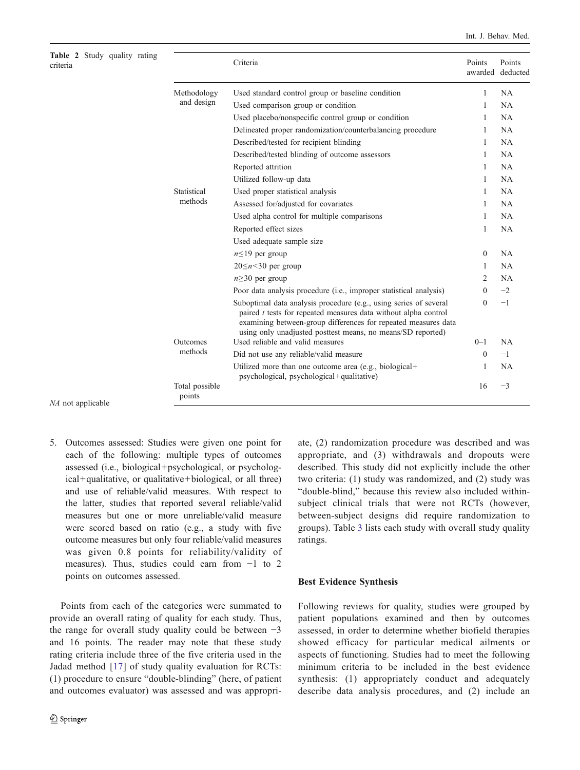<span id="page-3-0"></span>

| <b>Table 2</b> Study quality rating<br>criteria |                          | Criteria                                                                                                                                                                                                                                                                | Points       | Points<br>awarded deducted |
|-------------------------------------------------|--------------------------|-------------------------------------------------------------------------------------------------------------------------------------------------------------------------------------------------------------------------------------------------------------------------|--------------|----------------------------|
|                                                 | Methodology              | Used standard control group or baseline condition                                                                                                                                                                                                                       |              | <b>NA</b>                  |
|                                                 | and design               | Used comparison group or condition                                                                                                                                                                                                                                      |              | <b>NA</b>                  |
|                                                 |                          | Used placebo/nonspecific control group or condition                                                                                                                                                                                                                     |              | <b>NA</b>                  |
|                                                 |                          | Delineated proper randomization/counterbalancing procedure                                                                                                                                                                                                              | 1.           | <b>NA</b>                  |
|                                                 |                          | Described/tested for recipient blinding                                                                                                                                                                                                                                 | 1            | <b>NA</b>                  |
|                                                 |                          | Described/tested blinding of outcome assessors                                                                                                                                                                                                                          |              | <b>NA</b>                  |
|                                                 |                          | Reported attrition                                                                                                                                                                                                                                                      | $\mathbf{1}$ | <b>NA</b>                  |
|                                                 |                          | Utilized follow-up data                                                                                                                                                                                                                                                 | 1            | <b>NA</b>                  |
|                                                 | Statistical              | Used proper statistical analysis                                                                                                                                                                                                                                        | 1            | <b>NA</b>                  |
|                                                 | methods                  | Assessed for/adjusted for covariates                                                                                                                                                                                                                                    | 1            | <b>NA</b>                  |
|                                                 |                          | Used alpha control for multiple comparisons                                                                                                                                                                                                                             |              | NA                         |
|                                                 |                          | Reported effect sizes                                                                                                                                                                                                                                                   | 1            | <b>NA</b>                  |
|                                                 |                          | Used adequate sample size                                                                                                                                                                                                                                               |              |                            |
|                                                 |                          | $n \leq 19$ per group                                                                                                                                                                                                                                                   | $\Omega$     | <b>NA</b>                  |
|                                                 |                          | $20 \le n \le 30$ per group                                                                                                                                                                                                                                             | 1            | <b>NA</b>                  |
|                                                 |                          | $n \geq 30$ per group                                                                                                                                                                                                                                                   | 2            | <b>NA</b>                  |
|                                                 |                          | Poor data analysis procedure (i.e., improper statistical analysis)                                                                                                                                                                                                      | $\theta$     | $-2$                       |
| $NA$ not applicable                             |                          | Suboptimal data analysis procedure (e.g., using series of several<br>paired $t$ tests for repeated measures data without alpha control<br>examining between-group differences for repeated measures data<br>using only unadjusted posttest means, no means/SD reported) | $\theta$     | $-1$                       |
|                                                 | Outcomes                 | Used reliable and valid measures                                                                                                                                                                                                                                        | $0 - 1$      | NA                         |
|                                                 | methods                  | Did not use any reliable/valid measure                                                                                                                                                                                                                                  | $\Omega$     | $-1$                       |
|                                                 |                          | Utilized more than one outcome area (e.g., biological+<br>psychological, psychological+qualitative)                                                                                                                                                                     |              | <b>NA</b>                  |
|                                                 | Total possible<br>points |                                                                                                                                                                                                                                                                         | 16           | $-3$                       |

NA not applicable

5. Outcomes assessed: Studies were given one point for each of the following: multiple types of outcomes assessed (i.e., biological+psychological, or psychological+qualitative, or qualitative+biological, or all three) and use of reliable/valid measures. With respect to the latter, studies that reported several reliable/valid measures but one or more unreliable/valid measure were scored based on ratio (e.g., a study with five outcome measures but only four reliable/valid measures was given 0.8 points for reliability/validity of measures). Thus, studies could earn from −1 to 2 points on outcomes assessed.

Points from each of the categories were summated to provide an overall rating of quality for each study. Thus, the range for overall study quality could be between −3 and 16 points. The reader may note that these study rating criteria include three of the five criteria used in the Jadad method [\[17](#page-13-0)] of study quality evaluation for RCTs: (1) procedure to ensure "double-blinding" (here, of patient and outcomes evaluator) was assessed and was appropriate, (2) randomization procedure was described and was appropriate, and (3) withdrawals and dropouts were described. This study did not explicitly include the other two criteria: (1) study was randomized, and (2) study was "double-blind," because this review also included withinsubject clinical trials that were not RCTs (however, between-subject designs did require randomization to groups). Table [3](#page-4-0) lists each study with overall study quality ratings.

#### Best Evidence Synthesis

Following reviews for quality, studies were grouped by patient populations examined and then by outcomes assessed, in order to determine whether biofield therapies showed efficacy for particular medical ailments or aspects of functioning. Studies had to meet the following minimum criteria to be included in the best evidence synthesis: (1) appropriately conduct and adequately describe data analysis procedures, and (2) include an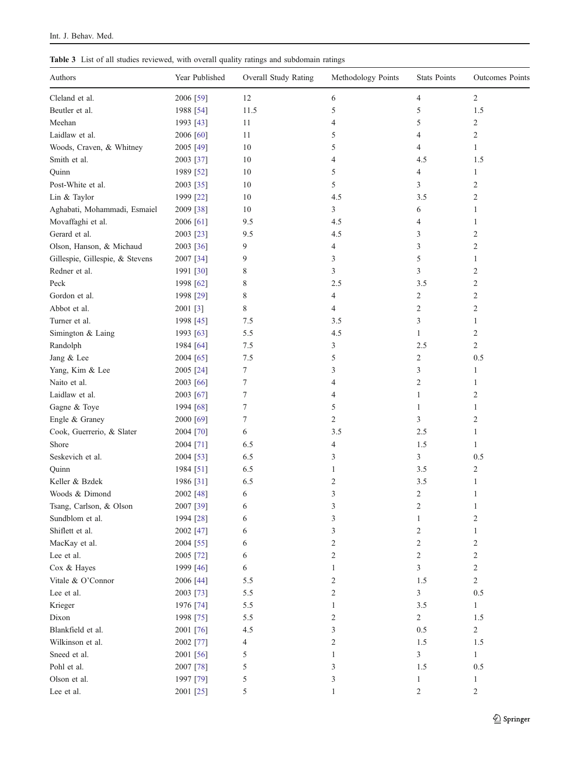<span id="page-4-0"></span>

|  | Int. J. Behav. Med. |  |
|--|---------------------|--|
|  |                     |  |

Table 3 List of all studies reviewed, with overall quality ratings and subdomain ratings

| Authors                         | Year Published | Overall Study Rating | Methodology Points | <b>Stats Points</b> | <b>Outcomes Points</b> |  |
|---------------------------------|----------------|----------------------|--------------------|---------------------|------------------------|--|
| Cleland et al.                  | 2006 [59]      | 12                   | 6                  | $\overline{4}$      | $\sqrt{2}$             |  |
| Beutler et al.                  | 1988 [54]      | 11.5                 | 5                  | 5                   | 1.5                    |  |
| Meehan                          | 1993 [43]      | 11                   | 4                  | 5                   | 2                      |  |
| Laidlaw et al.                  | 2006 [60]      | 11                   | 5                  | 4                   | $\overline{c}$         |  |
| Woods, Craven, & Whitney        | 2005 [49]      | 10                   | 5                  | 4                   | $\mathbf{1}$           |  |
| Smith et al.                    | 2003 [37]      | 10                   | 4                  | 4.5                 | 1.5                    |  |
| Quinn                           | 1989 [52]      | 10                   | 5                  | 4                   | $\mathbf{1}$           |  |
| Post-White et al.               | 2003 [35]      | 10                   | 5                  | 3                   | 2                      |  |
| Lin & Taylor                    | 1999 [22]      | 10                   | 4.5                | 3.5                 | $\mathfrak{2}$         |  |
| Aghabati, Mohammadi, Esmaiel    | 2009 [38]      | 10                   | 3                  | 6                   | 1                      |  |
| Movaffaghi et al.               | 2006 [61]      | 9.5                  | 4.5                | 4                   | 1                      |  |
| Gerard et al.                   | 2003 [23]      | 9.5                  | 4.5                | 3                   | 2                      |  |
| Olson, Hanson, & Michaud        | 2003 [36]      | 9                    | 4                  | 3                   | $\mathfrak{2}$         |  |
| Gillespie, Gillespie, & Stevens | 2007 [34]      | 9                    | 3                  | 5                   | 1                      |  |
| Redner et al.                   | 1991 [30]      | 8                    | 3                  | 3                   | 2                      |  |
| Peck                            | 1998 [62]      | 8                    | 2.5                | 3.5                 | $\overline{c}$         |  |
| Gordon et al.                   | 1998 [29]      | 8                    | 4                  | 2                   | $\mathfrak{2}$         |  |
| Abbot et al.                    | 2001 [3]       | 8                    | 4                  | $\overline{c}$      | $\overline{c}$         |  |
| Turner et al.                   | 1998 [45]      | 7.5                  | 3.5                | 3                   | $\mathbf{1}$           |  |
| Simington & Laing               | 1993 [63]      | 5.5                  | 4.5                | $\mathbf{1}$        | $\overline{c}$         |  |
| Randolph                        | 1984 [64]      | 7.5                  | 3                  | 2.5                 | $\overline{c}$         |  |
| Jang & Lee                      | 2004 [65]      | 7.5                  | 5                  | 2                   | 0.5                    |  |
| Yang, Kim & Lee                 | 2005 [24]      | 7                    | 3                  | 3                   | 1                      |  |
| Naito et al.                    | 2003 [66]      | 7                    | 4                  | 2                   | 1                      |  |
| Laidlaw et al.                  | 2003 [67]      | 7                    | 4                  | $\mathbf{1}$        | 2                      |  |
| Gagne & Toye                    | 1994 [68]      | 7                    | 5                  | $\mathbf{1}$        | $\mathbf{1}$           |  |
| Engle & Graney                  | 2000 [69]      | 7                    | $\overline{c}$     | 3                   | 2                      |  |
| Cook, Guerrerio, & Slater       | 2004 [70]      | 6                    | 3.5                | 2.5                 | 1                      |  |
| Shore                           | 2004 [71]      | 6.5                  | 4                  | 1.5                 | 1                      |  |
| Seskevich et al.                | 2004 [53]      | 6.5                  | 3                  | 3                   | 0.5                    |  |
| Quinn                           | 1984 [51]      | 6.5                  | $\mathbf{1}$       | 3.5                 | 2                      |  |
| Keller & Bzdek                  | 1986 [31]      | 6.5                  | 2                  | 3.5                 | $\mathbf{1}$           |  |
| Woods & Dimond                  | 2002 [48]      | 6                    | 3                  | $\overline{c}$      | $\mathbf{1}$           |  |
| Tsang, Carlson, & Olson         | 2007 [39]      | 6                    | 3                  | 2                   | $\mathbf{1}$           |  |
| Sundblom et al.                 | 1994 [28]      | 6                    | 3                  | $\mathbf{1}$        | 2                      |  |
| Shiflett et al.                 | 2002 [47]      | 6                    | 3                  | 2                   | $\mathbf{1}$           |  |
| MacKay et al.                   | 2004 [55]      | 6                    | $\mathfrak{2}$     | $\overline{c}$      | $\overline{c}$         |  |
| Lee et al.                      | 2005 [72]      | 6                    | $\overline{c}$     | $\overline{c}$      | $\overline{c}$         |  |
| Cox & Hayes                     | 1999 [46]      | 6                    | $\mathbf{1}$       | 3                   | $\overline{c}$         |  |
| Vitale & O'Connor               | 2006 [44]      | 5.5                  | $\overline{c}$     | 1.5                 | $\overline{c}$         |  |
| Lee et al.                      | 2003 [73]      | 5.5                  | $\mathfrak{2}$     | 3                   | 0.5                    |  |
| Krieger                         | 1976 [74]      | 5.5                  | $\mathbf{1}$       | 3.5                 | $\mathbf{1}$           |  |
| Dixon                           | 1998 [75]      | 5.5                  | $\overline{c}$     | $\overline{c}$      | 1.5                    |  |
| Blankfield et al.               | 2001 [76]      | 4.5                  | 3                  | 0.5                 | $\overline{c}$         |  |
| Wilkinson et al.                | 2002 [77]      | 4                    | $\mathfrak{2}$     | 1.5                 | 1.5                    |  |
| Sneed et al.                    | 2001 [56]      | 5                    | $\mathbf{1}$       | 3                   | $\mathbf{1}$           |  |
| Pohl et al.                     | 2007 [78]      | 5                    | 3                  | 1.5                 | 0.5                    |  |
| Olson et al.                    | 1997 [79]      | 5                    | 3                  | $\mathbf{1}$        | $\mathbf{1}$           |  |
| Lee et al.                      | 2001 [25]      | 5                    | $\mathbf{1}$       | $\overline{2}$      | $\overline{c}$         |  |
|                                 |                |                      |                    |                     |                        |  |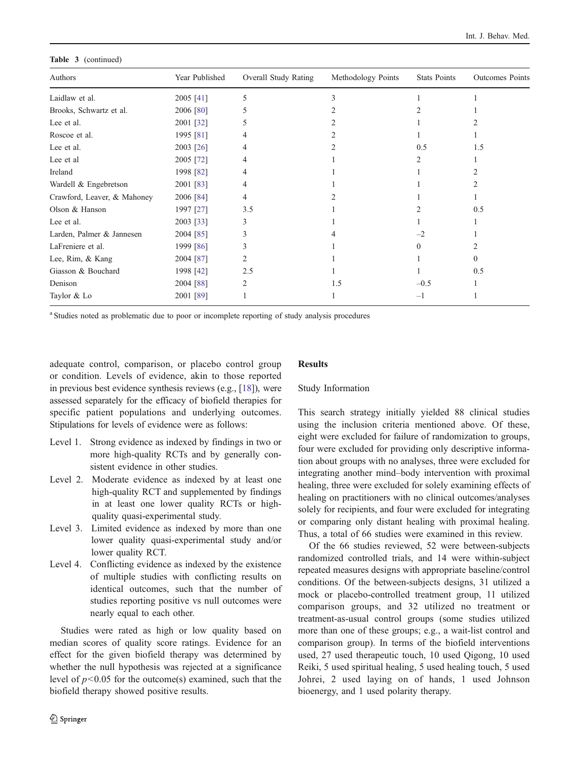#### Table 3 (continued)

| Authors                     | Year Published | Overall Study Rating | Methodology Points | <b>Stats Points</b> | <b>Outcomes Points</b> |  |
|-----------------------------|----------------|----------------------|--------------------|---------------------|------------------------|--|
| Laidlaw et al.              | 2005 [41]      | 5                    |                    |                     |                        |  |
| Brooks, Schwartz et al.     | 2006 [80]      | 7                    |                    |                     |                        |  |
| Lee et al.                  | 2001 [32]      | 5                    |                    |                     |                        |  |
| Roscoe et al.               | 1995 [81]      |                      |                    |                     |                        |  |
| Lee et al.                  | 2003 [26]      |                      |                    | 0.5                 | 1.5                    |  |
| Lee et al                   | 2005 [72]      | 4                    |                    | 2                   |                        |  |
| Ireland                     | 1998 [82]      | 4                    |                    |                     |                        |  |
| Wardell & Engebretson       | 2001 [83]      | 4                    |                    |                     |                        |  |
| Crawford, Leaver, & Mahoney | 2006 [84]      | 4                    |                    |                     |                        |  |
| Olson & Hanson              | 1997 [27]      | 3.5                  |                    |                     | 0.5                    |  |
| Lee et al.                  | 2003 [33]      | 3                    |                    |                     |                        |  |
| Larden, Palmer & Jannesen   | 2004 [85]      | 3                    |                    |                     |                        |  |
| LaFreniere et al.           | 1999 [86]      | 3                    |                    | 0                   |                        |  |
| Lee, Rim, & Kang            | 2004 [87]      | 2                    |                    |                     | 0                      |  |
| Giasson & Bouchard          | 1998 [42]      | 2.5                  |                    |                     | 0.5                    |  |
| Denison                     | 2004 [88]      | 2                    | 1.5                | $-0.5$              |                        |  |
| Taylor & Lo                 | 2001 [89]      |                      |                    | $-$                 |                        |  |

<sup>a</sup> Studies noted as problematic due to poor or incomplete reporting of study analysis procedures

adequate control, comparison, or placebo control group or condition. Levels of evidence, akin to those reported in previous best evidence synthesis reviews (e.g., [[18](#page-13-0)]), were assessed separately for the efficacy of biofield therapies for specific patient populations and underlying outcomes. Stipulations for levels of evidence were as follows:

- Level 1. Strong evidence as indexed by findings in two or more high-quality RCTs and by generally consistent evidence in other studies.
- Level 2. Moderate evidence as indexed by at least one high-quality RCT and supplemented by findings in at least one lower quality RCTs or highquality quasi-experimental study.
- Level 3. Limited evidence as indexed by more than one lower quality quasi-experimental study and/or lower quality RCT.
- Level 4. Conflicting evidence as indexed by the existence of multiple studies with conflicting results on identical outcomes, such that the number of studies reporting positive vs null outcomes were nearly equal to each other.

Studies were rated as high or low quality based on median scores of quality score ratings. Evidence for an effect for the given biofield therapy was determined by whether the null hypothesis was rejected at a significance level of  $p<0.05$  for the outcome(s) examined, such that the biofield therapy showed positive results.

## **Results**

## Study Information

This search strategy initially yielded 88 clinical studies using the inclusion criteria mentioned above. Of these, eight were excluded for failure of randomization to groups, four were excluded for providing only descriptive information about groups with no analyses, three were excluded for integrating another mind–body intervention with proximal healing, three were excluded for solely examining effects of healing on practitioners with no clinical outcomes/analyses solely for recipients, and four were excluded for integrating or comparing only distant healing with proximal healing. Thus, a total of 66 studies were examined in this review.

Of the 66 studies reviewed, 52 were between-subjects randomized controlled trials, and 14 were within-subject repeated measures designs with appropriate baseline/control conditions. Of the between-subjects designs, 31 utilized a mock or placebo-controlled treatment group, 11 utilized comparison groups, and 32 utilized no treatment or treatment-as-usual control groups (some studies utilized more than one of these groups; e.g., a wait-list control and comparison group). In terms of the biofield interventions used, 27 used therapeutic touch, 10 used Qigong, 10 used Reiki, 5 used spiritual healing, 5 used healing touch, 5 used Johrei, 2 used laying on of hands, 1 used Johnson bioenergy, and 1 used polarity therapy.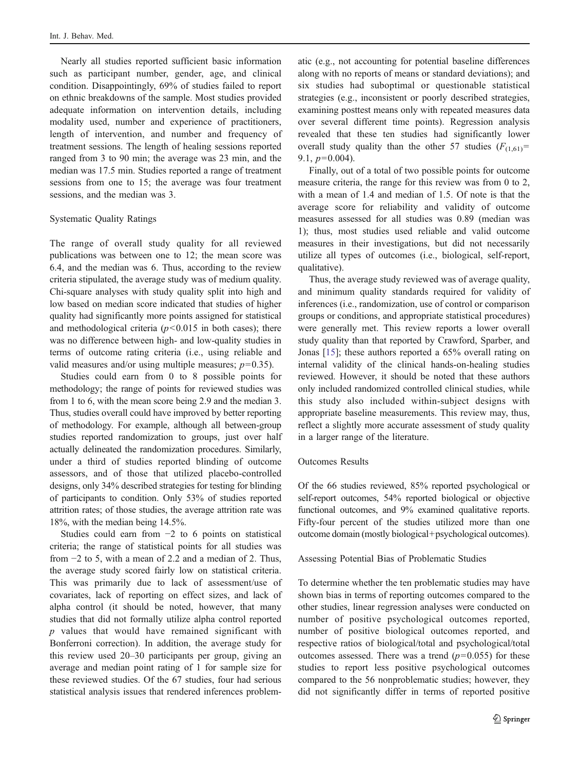Nearly all studies reported sufficient basic information such as participant number, gender, age, and clinical condition. Disappointingly, 69% of studies failed to report on ethnic breakdowns of the sample. Most studies provided adequate information on intervention details, including modality used, number and experience of practitioners, length of intervention, and number and frequency of treatment sessions. The length of healing sessions reported ranged from 3 to 90 min; the average was 23 min, and the median was 17.5 min. Studies reported a range of treatment sessions from one to 15; the average was four treatment sessions, and the median was 3.

## Systematic Quality Ratings

The range of overall study quality for all reviewed publications was between one to 12; the mean score was 6.4, and the median was 6. Thus, according to the review criteria stipulated, the average study was of medium quality. Chi-square analyses with study quality split into high and low based on median score indicated that studies of higher quality had significantly more points assigned for statistical and methodological criteria  $(p<0.015$  in both cases); there was no difference between high- and low-quality studies in terms of outcome rating criteria (i.e., using reliable and valid measures and/or using multiple measures;  $p=0.35$ ).

Studies could earn from 0 to 8 possible points for methodology; the range of points for reviewed studies was from 1 to 6, with the mean score being 2.9 and the median 3. Thus, studies overall could have improved by better reporting of methodology. For example, although all between-group studies reported randomization to groups, just over half actually delineated the randomization procedures. Similarly, under a third of studies reported blinding of outcome assessors, and of those that utilized placebo-controlled designs, only 34% described strategies for testing for blinding of participants to condition. Only 53% of studies reported attrition rates; of those studies, the average attrition rate was 18%, with the median being 14.5%.

Studies could earn from  $-2$  to 6 points on statistical criteria; the range of statistical points for all studies was from −2 to 5, with a mean of 2.2 and a median of 2. Thus, the average study scored fairly low on statistical criteria. This was primarily due to lack of assessment/use of covariates, lack of reporting on effect sizes, and lack of alpha control (it should be noted, however, that many studies that did not formally utilize alpha control reported  $p$  values that would have remained significant with Bonferroni correction). In addition, the average study for this review used 20–30 participants per group, giving an average and median point rating of 1 for sample size for these reviewed studies. Of the 67 studies, four had serious statistical analysis issues that rendered inferences problematic (e.g., not accounting for potential baseline differences along with no reports of means or standard deviations); and six studies had suboptimal or questionable statistical strategies (e.g., inconsistent or poorly described strategies, examining posttest means only with repeated measures data over several different time points). Regression analysis revealed that these ten studies had significantly lower overall study quality than the other 57 studies  $(F_{(1,61)}=$ 9.1,  $p=0.004$ ).

Finally, out of a total of two possible points for outcome measure criteria, the range for this review was from 0 to 2, with a mean of 1.4 and median of 1.5. Of note is that the average score for reliability and validity of outcome measures assessed for all studies was 0.89 (median was 1); thus, most studies used reliable and valid outcome measures in their investigations, but did not necessarily utilize all types of outcomes (i.e., biological, self-report, qualitative).

Thus, the average study reviewed was of average quality, and minimum quality standards required for validity of inferences (i.e., randomization, use of control or comparison groups or conditions, and appropriate statistical procedures) were generally met. This review reports a lower overall study quality than that reported by Crawford, Sparber, and Jonas [[15\]](#page-13-0); these authors reported a 65% overall rating on internal validity of the clinical hands-on-healing studies reviewed. However, it should be noted that these authors only included randomized controlled clinical studies, while this study also included within-subject designs with appropriate baseline measurements. This review may, thus, reflect a slightly more accurate assessment of study quality in a larger range of the literature.

#### Outcomes Results

Of the 66 studies reviewed, 85% reported psychological or self-report outcomes, 54% reported biological or objective functional outcomes, and 9% examined qualitative reports. Fifty-four percent of the studies utilized more than one outcome domain (mostly biological+psychological outcomes).

#### Assessing Potential Bias of Problematic Studies

To determine whether the ten problematic studies may have shown bias in terms of reporting outcomes compared to the other studies, linear regression analyses were conducted on number of positive psychological outcomes reported, number of positive biological outcomes reported, and respective ratios of biological/total and psychological/total outcomes assessed. There was a trend  $(p=0.055)$  for these studies to report less positive psychological outcomes compared to the 56 nonproblematic studies; however, they did not significantly differ in terms of reported positive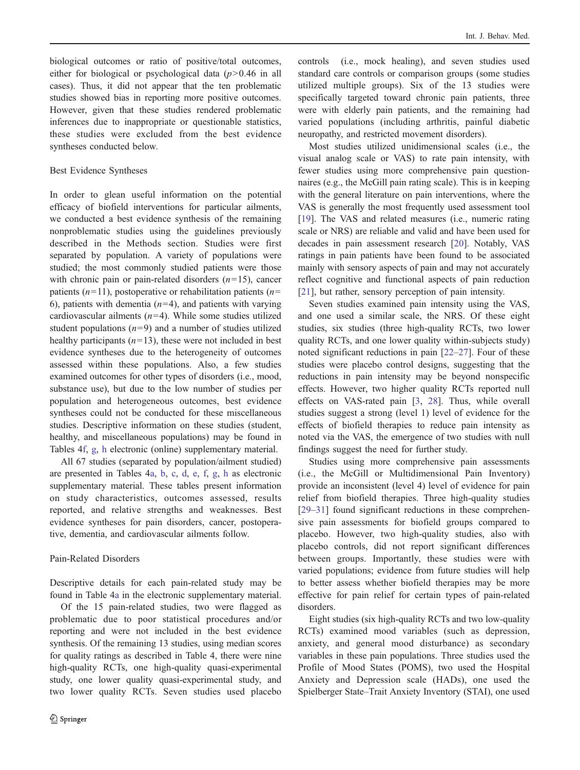biological outcomes or ratio of positive/total outcomes, either for biological or psychological data  $(p>0.46$  in all cases). Thus, it did not appear that the ten problematic studies showed bias in reporting more positive outcomes. However, given that these studies rendered problematic inferences due to inappropriate or questionable statistics, these studies were excluded from the best evidence syntheses conducted below.

## Best Evidence Syntheses

In order to glean useful information on the potential efficacy of biofield interventions for particular ailments, we conducted a best evidence synthesis of the remaining nonproblematic studies using the guidelines previously described in the Methods section. Studies were first separated by population. A variety of populations were studied; the most commonly studied patients were those with chronic pain or pain-related disorders  $(n=15)$ , cancer patients  $(n=11)$ , postoperative or rehabilitation patients  $(n=$ 6), patients with dementia  $(n=4)$ , and patients with varying cardiovascular ailments  $(n=4)$ . While some studies utilized student populations  $(n=9)$  and a number of studies utilized healthy participants  $(n=13)$ , these were not included in best evidence syntheses due to the heterogeneity of outcomes assessed within these populations. Also, a few studies examined outcomes for other types of disorders (i.e., mood, substance use), but due to the low number of studies per population and heterogeneous outcomes, best evidence syntheses could not be conducted for these miscellaneous studies. Descriptive information on these studies (student, healthy, and miscellaneous populations) may be found in Tables 4f, g, h electronic (online) supplementary material.

All 67 studies (separated by population/ailment studied) are presented in Tables 4a, b, c, d, e, f, g, h as electronic supplementary material. These tables present information on study characteristics, outcomes assessed, results reported, and relative strengths and weaknesses. Best evidence syntheses for pain disorders, cancer, postoperative, dementia, and cardiovascular ailments follow.

## Pain-Related Disorders

Descriptive details for each pain-related study may be found in Table 4a in the electronic supplementary material.

Of the 15 pain-related studies, two were flagged as problematic due to poor statistical procedures and/or reporting and were not included in the best evidence synthesis. Of the remaining 13 studies, using median scores for quality ratings as described in Table 4, there were nine high-quality RCTs, one high-quality quasi-experimental study, one lower quality quasi-experimental study, and two lower quality RCTs. Seven studies used placebo

controls (i.e., mock healing), and seven studies used standard care controls or comparison groups (some studies utilized multiple groups). Six of the 13 studies were specifically targeted toward chronic pain patients, three were with elderly pain patients, and the remaining had varied populations (including arthritis, painful diabetic neuropathy, and restricted movement disorders).

Most studies utilized unidimensional scales (i.e., the visual analog scale or VAS) to rate pain intensity, with fewer studies using more comprehensive pain questionnaires (e.g., the McGill pain rating scale). This is in keeping with the general literature on pain interventions, where the VAS is generally the most frequently used assessment tool [\[19](#page-13-0)]. The VAS and related measures (i.e., numeric rating scale or NRS) are reliable and valid and have been used for decades in pain assessment research [\[20](#page-13-0)]. Notably, VAS ratings in pain patients have been found to be associated mainly with sensory aspects of pain and may not accurately reflect cognitive and functional aspects of pain reduction [\[21](#page-13-0)], but rather, sensory perception of pain intensity.

Seven studies examined pain intensity using the VAS, and one used a similar scale, the NRS. Of these eight studies, six studies (three high-quality RCTs, two lower quality RCTs, and one lower quality within-subjects study) noted significant reductions in pain [\[22](#page-13-0)–[27](#page-13-0)]. Four of these studies were placebo control designs, suggesting that the reductions in pain intensity may be beyond nonspecific effects. However, two higher quality RCTs reported null effects on VAS-rated pain [[3,](#page-13-0) [28\]](#page-13-0). Thus, while overall studies suggest a strong (level 1) level of evidence for the effects of biofield therapies to reduce pain intensity as noted via the VAS, the emergence of two studies with null findings suggest the need for further study.

Studies using more comprehensive pain assessments (i.e., the McGill or Multidimensional Pain Inventory) provide an inconsistent (level 4) level of evidence for pain relief from biofield therapies. Three high-quality studies [\[29](#page-13-0)–[31](#page-13-0)] found significant reductions in these comprehensive pain assessments for biofield groups compared to placebo. However, two high-quality studies, also with placebo controls, did not report significant differences between groups. Importantly, these studies were with varied populations; evidence from future studies will help to better assess whether biofield therapies may be more effective for pain relief for certain types of pain-related disorders.

Eight studies (six high-quality RCTs and two low-quality RCTs) examined mood variables (such as depression, anxiety, and general mood disturbance) as secondary variables in these pain populations. Three studies used the Profile of Mood States (POMS), two used the Hospital Anxiety and Depression scale (HADs), one used the Spielberger State–Trait Anxiety Inventory (STAI), one used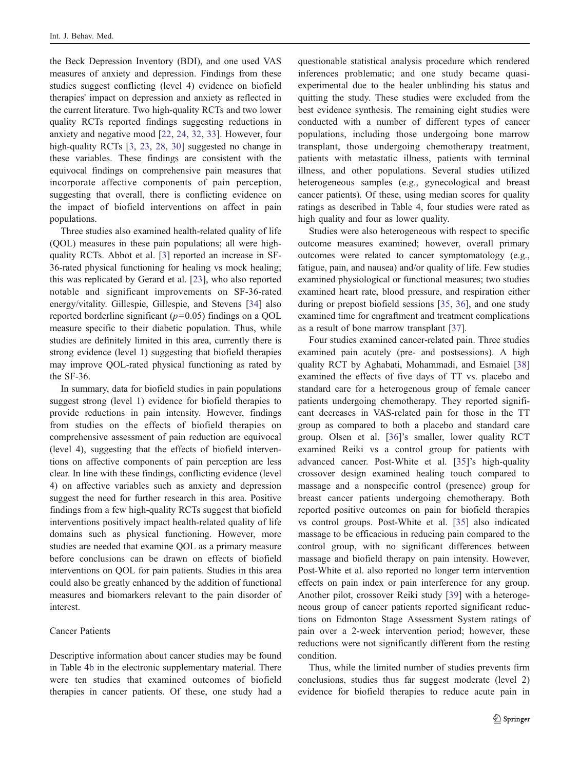the Beck Depression Inventory (BDI), and one used VAS measures of anxiety and depression. Findings from these studies suggest conflicting (level 4) evidence on biofield therapies' impact on depression and anxiety as reflected in the current literature. Two high-quality RCTs and two lower quality RCTs reported findings suggesting reductions in anxiety and negative mood [[22,](#page-13-0) [24](#page-13-0), [32,](#page-13-0) [33](#page-13-0)]. However, four high-quality RCTs [[3,](#page-13-0) [23,](#page-13-0) [28,](#page-13-0) [30](#page-13-0)] suggested no change in these variables. These findings are consistent with the equivocal findings on comprehensive pain measures that incorporate affective components of pain perception, suggesting that overall, there is conflicting evidence on the impact of biofield interventions on affect in pain populations.

Three studies also examined health-related quality of life (QOL) measures in these pain populations; all were highquality RCTs. Abbot et al. [\[3](#page-13-0)] reported an increase in SF-36-rated physical functioning for healing vs mock healing; this was replicated by Gerard et al. [\[23](#page-13-0)], who also reported notable and significant improvements on SF-36-rated energy/vitality. Gillespie, Gillespie, and Stevens [[34\]](#page-13-0) also reported borderline significant  $(p=0.05)$  findings on a QOL measure specific to their diabetic population. Thus, while studies are definitely limited in this area, currently there is strong evidence (level 1) suggesting that biofield therapies may improve QOL-rated physical functioning as rated by the SF-36.

In summary, data for biofield studies in pain populations suggest strong (level 1) evidence for biofield therapies to provide reductions in pain intensity. However, findings from studies on the effects of biofield therapies on comprehensive assessment of pain reduction are equivocal (level 4), suggesting that the effects of biofield interventions on affective components of pain perception are less clear. In line with these findings, conflicting evidence (level 4) on affective variables such as anxiety and depression suggest the need for further research in this area. Positive findings from a few high-quality RCTs suggest that biofield interventions positively impact health-related quality of life domains such as physical functioning. However, more studies are needed that examine QOL as a primary measure before conclusions can be drawn on effects of biofield interventions on QOL for pain patients. Studies in this area could also be greatly enhanced by the addition of functional measures and biomarkers relevant to the pain disorder of interest.

### Cancer Patients

Descriptive information about cancer studies may be found in Table 4b in the electronic supplementary material. There were ten studies that examined outcomes of biofield therapies in cancer patients. Of these, one study had a questionable statistical analysis procedure which rendered inferences problematic; and one study became quasiexperimental due to the healer unblinding his status and quitting the study. These studies were excluded from the best evidence synthesis. The remaining eight studies were conducted with a number of different types of cancer populations, including those undergoing bone marrow transplant, those undergoing chemotherapy treatment, patients with metastatic illness, patients with terminal illness, and other populations. Several studies utilized heterogeneous samples (e.g., gynecological and breast cancer patients). Of these, using median scores for quality ratings as described in Table 4, four studies were rated as high quality and four as lower quality.

Studies were also heterogeneous with respect to specific outcome measures examined; however, overall primary outcomes were related to cancer symptomatology (e.g., fatigue, pain, and nausea) and/or quality of life. Few studies examined physiological or functional measures; two studies examined heart rate, blood pressure, and respiration either during or prepost biofield sessions [\[35](#page-13-0), [36](#page-13-0)], and one study examined time for engraftment and treatment complications as a result of bone marrow transplant [[37\]](#page-13-0).

Four studies examined cancer-related pain. Three studies examined pain acutely (pre- and postsessions). A high quality RCT by Aghabati, Mohammadi, and Esmaiel [\[38](#page-13-0)] examined the effects of five days of TT vs. placebo and standard care for a heterogenous group of female cancer patients undergoing chemotherapy. They reported significant decreases in VAS-related pain for those in the TT group as compared to both a placebo and standard care group. Olsen et al. [\[36](#page-13-0)]'s smaller, lower quality RCT examined Reiki vs a control group for patients with advanced cancer. Post-White et al. [[35\]](#page-13-0)'s high-quality crossover design examined healing touch compared to massage and a nonspecific control (presence) group for breast cancer patients undergoing chemotherapy. Both reported positive outcomes on pain for biofield therapies vs control groups. Post-White et al. [\[35](#page-13-0)] also indicated massage to be efficacious in reducing pain compared to the control group, with no significant differences between massage and biofield therapy on pain intensity. However, Post-White et al. also reported no longer term intervention effects on pain index or pain interference for any group. Another pilot, crossover Reiki study [\[39](#page-13-0)] with a heterogeneous group of cancer patients reported significant reductions on Edmonton Stage Assessment System ratings of pain over a 2-week intervention period; however, these reductions were not significantly different from the resting condition.

Thus, while the limited number of studies prevents firm conclusions, studies thus far suggest moderate (level 2) evidence for biofield therapies to reduce acute pain in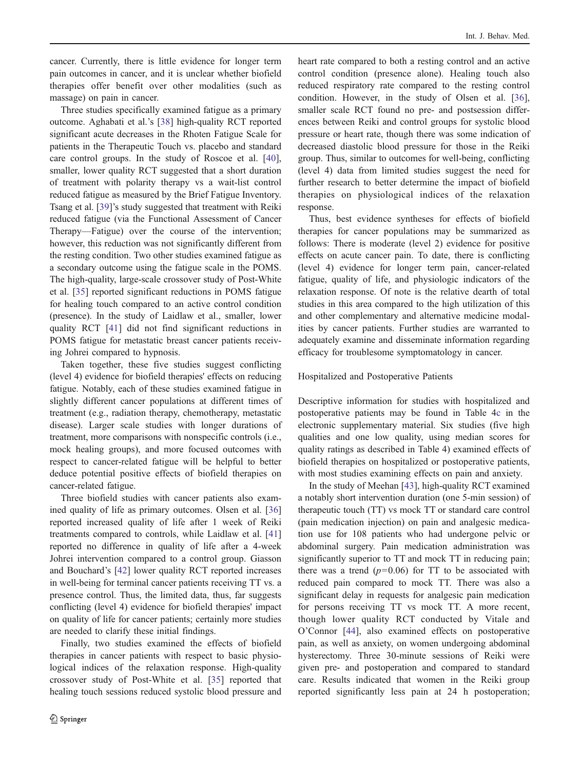cancer. Currently, there is little evidence for longer term pain outcomes in cancer, and it is unclear whether biofield therapies offer benefit over other modalities (such as massage) on pain in cancer.

Three studies specifically examined fatigue as a primary outcome. Aghabati et al.'s [[38\]](#page-13-0) high-quality RCT reported significant acute decreases in the Rhoten Fatigue Scale for patients in the Therapeutic Touch vs. placebo and standard care control groups. In the study of Roscoe et al. [\[40](#page-13-0)], smaller, lower quality RCT suggested that a short duration of treatment with polarity therapy vs a wait-list control reduced fatigue as measured by the Brief Fatigue Inventory. Tsang et al. [\[39](#page-13-0)]'s study suggested that treatment with Reiki reduced fatigue (via the Functional Assessment of Cancer Therapy—Fatigue) over the course of the intervention; however, this reduction was not significantly different from the resting condition. Two other studies examined fatigue as a secondary outcome using the fatigue scale in the POMS. The high-quality, large-scale crossover study of Post-White et al. [[35\]](#page-13-0) reported significant reductions in POMS fatigue for healing touch compared to an active control condition (presence). In the study of Laidlaw et al., smaller, lower quality RCT [[41\]](#page-13-0) did not find significant reductions in POMS fatigue for metastatic breast cancer patients receiving Johrei compared to hypnosis.

Taken together, these five studies suggest conflicting (level 4) evidence for biofield therapies' effects on reducing fatigue. Notably, each of these studies examined fatigue in slightly different cancer populations at different times of treatment (e.g., radiation therapy, chemotherapy, metastatic disease). Larger scale studies with longer durations of treatment, more comparisons with nonspecific controls (i.e., mock healing groups), and more focused outcomes with respect to cancer-related fatigue will be helpful to better deduce potential positive effects of biofield therapies on cancer-related fatigue.

Three biofield studies with cancer patients also examined quality of life as primary outcomes. Olsen et al. [[36\]](#page-13-0) reported increased quality of life after 1 week of Reiki treatments compared to controls, while Laidlaw et al. [[41\]](#page-13-0) reported no difference in quality of life after a 4-week Johrei intervention compared to a control group. Giasson and Bouchard's [[42\]](#page-14-0) lower quality RCT reported increases in well-being for terminal cancer patients receiving TT vs. a presence control. Thus, the limited data, thus, far suggests conflicting (level 4) evidence for biofield therapies' impact on quality of life for cancer patients; certainly more studies are needed to clarify these initial findings.

Finally, two studies examined the effects of biofield therapies in cancer patients with respect to basic physiological indices of the relaxation response. High-quality crossover study of Post-White et al. [[35\]](#page-13-0) reported that healing touch sessions reduced systolic blood pressure and

heart rate compared to both a resting control and an active control condition (presence alone). Healing touch also reduced respiratory rate compared to the resting control condition. However, in the study of Olsen et al. [[36\]](#page-13-0), smaller scale RCT found no pre- and postsession differences between Reiki and control groups for systolic blood pressure or heart rate, though there was some indication of decreased diastolic blood pressure for those in the Reiki group. Thus, similar to outcomes for well-being, conflicting (level 4) data from limited studies suggest the need for further research to better determine the impact of biofield therapies on physiological indices of the relaxation response.

Thus, best evidence syntheses for effects of biofield therapies for cancer populations may be summarized as follows: There is moderate (level 2) evidence for positive effects on acute cancer pain. To date, there is conflicting (level 4) evidence for longer term pain, cancer-related fatigue, quality of life, and physiologic indicators of the relaxation response. Of note is the relative dearth of total studies in this area compared to the high utilization of this and other complementary and alternative medicine modalities by cancer patients. Further studies are warranted to adequately examine and disseminate information regarding efficacy for troublesome symptomatology in cancer.

## Hospitalized and Postoperative Patients

Descriptive information for studies with hospitalized and postoperative patients may be found in Table 4c in the electronic supplementary material. Six studies (five high qualities and one low quality, using median scores for quality ratings as described in Table 4) examined effects of biofield therapies on hospitalized or postoperative patients, with most studies examining effects on pain and anxiety.

In the study of Meehan [\[43](#page-14-0)], high-quality RCT examined a notably short intervention duration (one 5-min session) of therapeutic touch (TT) vs mock TT or standard care control (pain medication injection) on pain and analgesic medication use for 108 patients who had undergone pelvic or abdominal surgery. Pain medication administration was significantly superior to TT and mock TT in reducing pain; there was a trend  $(p=0.06)$  for TT to be associated with reduced pain compared to mock TT. There was also a significant delay in requests for analgesic pain medication for persons receiving TT vs mock TT. A more recent, though lower quality RCT conducted by Vitale and O'Connor [[44](#page-14-0)], also examined effects on postoperative pain, as well as anxiety, on women undergoing abdominal hysterectomy. Three 30-minute sessions of Reiki were given pre- and postoperation and compared to standard care. Results indicated that women in the Reiki group reported significantly less pain at 24 h postoperation;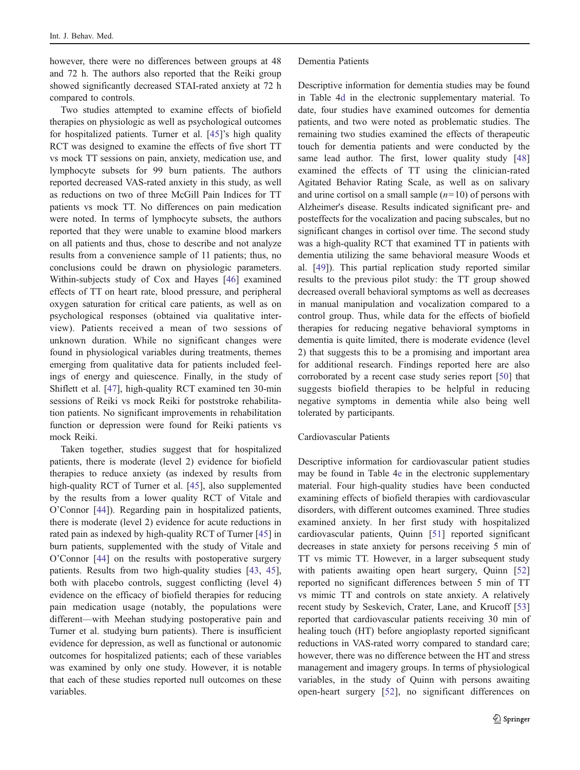however, there were no differences between groups at 48 and 72 h. The authors also reported that the Reiki group showed significantly decreased STAI-rated anxiety at 72 h compared to controls.

Two studies attempted to examine effects of biofield therapies on physiologic as well as psychological outcomes for hospitalized patients. Turner et al. [[45\]](#page-14-0)'s high quality RCT was designed to examine the effects of five short TT vs mock TT sessions on pain, anxiety, medication use, and lymphocyte subsets for 99 burn patients. The authors reported decreased VAS-rated anxiety in this study, as well as reductions on two of three McGill Pain Indices for TT patients vs mock TT. No differences on pain medication were noted. In terms of lymphocyte subsets, the authors reported that they were unable to examine blood markers on all patients and thus, chose to describe and not analyze results from a convenience sample of 11 patients; thus, no conclusions could be drawn on physiologic parameters. Within-subjects study of Cox and Hayes [\[46](#page-14-0)] examined effects of TT on heart rate, blood pressure, and peripheral oxygen saturation for critical care patients, as well as on psychological responses (obtained via qualitative interview). Patients received a mean of two sessions of unknown duration. While no significant changes were found in physiological variables during treatments, themes emerging from qualitative data for patients included feelings of energy and quiescence. Finally, in the study of Shiflett et al. [\[47](#page-14-0)], high-quality RCT examined ten 30-min sessions of Reiki vs mock Reiki for poststroke rehabilitation patients. No significant improvements in rehabilitation function or depression were found for Reiki patients vs mock Reiki.

Taken together, studies suggest that for hospitalized patients, there is moderate (level 2) evidence for biofield therapies to reduce anxiety (as indexed by results from high-quality RCT of Turner et al. [\[45](#page-14-0)], also supplemented by the results from a lower quality RCT of Vitale and O'Connor [\[44](#page-14-0)]). Regarding pain in hospitalized patients, there is moderate (level 2) evidence for acute reductions in rated pain as indexed by high-quality RCT of Turner [[45\]](#page-14-0) in burn patients, supplemented with the study of Vitale and O'Connor [\[44](#page-14-0)] on the results with postoperative surgery patients. Results from two high-quality studies [[43](#page-14-0), [45](#page-14-0)], both with placebo controls, suggest conflicting (level 4) evidence on the efficacy of biofield therapies for reducing pain medication usage (notably, the populations were different—with Meehan studying postoperative pain and Turner et al. studying burn patients). There is insufficient evidence for depression, as well as functional or autonomic outcomes for hospitalized patients; each of these variables was examined by only one study. However, it is notable that each of these studies reported null outcomes on these variables.

#### Dementia Patients

Descriptive information for dementia studies may be found in Table 4d in the electronic supplementary material. To date, four studies have examined outcomes for dementia patients, and two were noted as problematic studies. The remaining two studies examined the effects of therapeutic touch for dementia patients and were conducted by the same lead author. The first, lower quality study [[48](#page-14-0)] examined the effects of TT using the clinician-rated Agitated Behavior Rating Scale, as well as on salivary and urine cortisol on a small sample  $(n=10)$  of persons with Alzheimer's disease. Results indicated significant pre- and posteffects for the vocalization and pacing subscales, but no significant changes in cortisol over time. The second study was a high-quality RCT that examined TT in patients with dementia utilizing the same behavioral measure Woods et al. [[49\]](#page-14-0)). This partial replication study reported similar results to the previous pilot study: the TT group showed decreased overall behavioral symptoms as well as decreases in manual manipulation and vocalization compared to a control group. Thus, while data for the effects of biofield therapies for reducing negative behavioral symptoms in dementia is quite limited, there is moderate evidence (level 2) that suggests this to be a promising and important area for additional research. Findings reported here are also corroborated by a recent case study series report [[50](#page-14-0)] that suggests biofield therapies to be helpful in reducing negative symptoms in dementia while also being well tolerated by participants.

## Cardiovascular Patients

Descriptive information for cardiovascular patient studies may be found in Table 4e in the electronic supplementary material. Four high-quality studies have been conducted examining effects of biofield therapies with cardiovascular disorders, with different outcomes examined. Three studies examined anxiety. In her first study with hospitalized cardiovascular patients, Quinn [[51\]](#page-14-0) reported significant decreases in state anxiety for persons receiving 5 min of TT vs mimic TT. However, in a larger subsequent study with patients awaiting open heart surgery, Quinn [\[52](#page-14-0)] reported no significant differences between 5 min of TT vs mimic TT and controls on state anxiety. A relatively recent study by Seskevich, Crater, Lane, and Krucoff [\[53](#page-14-0)] reported that cardiovascular patients receiving 30 min of healing touch (HT) before angioplasty reported significant reductions in VAS-rated worry compared to standard care; however, there was no difference between the HT and stress management and imagery groups. In terms of physiological variables, in the study of Quinn with persons awaiting open-heart surgery [\[52\]](#page-14-0), no significant differences on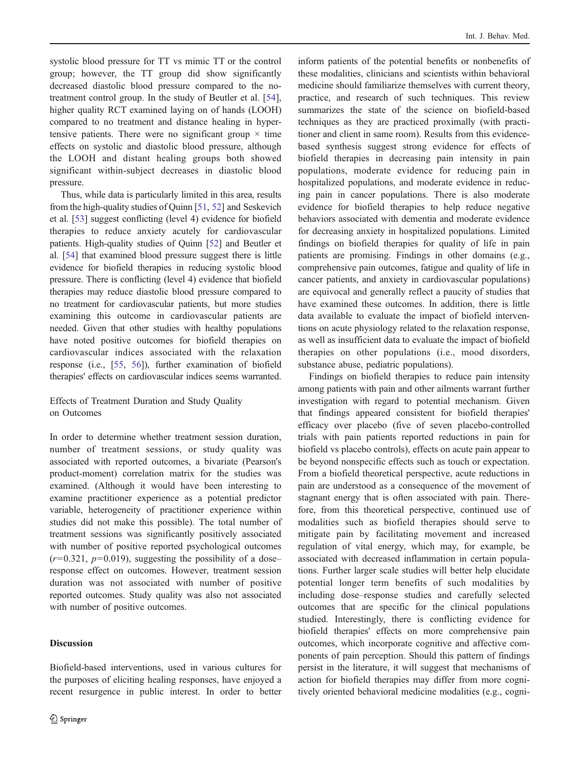systolic blood pressure for TT vs mimic TT or the control group; however, the TT group did show significantly decreased diastolic blood pressure compared to the notreatment control group. In the study of Beutler et al. [\[54](#page-14-0)], higher quality RCT examined laying on of hands (LOOH) compared to no treatment and distance healing in hypertensive patients. There were no significant group  $\times$  time effects on systolic and diastolic blood pressure, although the LOOH and distant healing groups both showed significant within-subject decreases in diastolic blood pressure.

Thus, while data is particularly limited in this area, results from the high-quality studies of Quinn [[51,](#page-14-0) [52](#page-14-0)] and Seskevich et al. [\[53\]](#page-14-0) suggest conflicting (level 4) evidence for biofield therapies to reduce anxiety acutely for cardiovascular patients. High-quality studies of Quinn [[52\]](#page-14-0) and Beutler et al. [\[54](#page-14-0)] that examined blood pressure suggest there is little evidence for biofield therapies in reducing systolic blood pressure. There is conflicting (level 4) evidence that biofield therapies may reduce diastolic blood pressure compared to no treatment for cardiovascular patients, but more studies examining this outcome in cardiovascular patients are needed. Given that other studies with healthy populations have noted positive outcomes for biofield therapies on cardiovascular indices associated with the relaxation response (i.e., [\[55,](#page-14-0) [56\]](#page-14-0)), further examination of biofield therapies' effects on cardiovascular indices seems warranted.

# Effects of Treatment Duration and Study Quality on Outcomes

In order to determine whether treatment session duration, number of treatment sessions, or study quality was associated with reported outcomes, a bivariate (Pearson's product-moment) correlation matrix for the studies was examined. (Although it would have been interesting to examine practitioner experience as a potential predictor variable, heterogeneity of practitioner experience within studies did not make this possible). The total number of treatment sessions was significantly positively associated with number of positive reported psychological outcomes  $(r=0.321, p=0.019)$ , suggesting the possibility of a doseresponse effect on outcomes. However, treatment session duration was not associated with number of positive reported outcomes. Study quality was also not associated with number of positive outcomes.

# **Discussion**

Biofield-based interventions, used in various cultures for the purposes of eliciting healing responses, have enjoyed a recent resurgence in public interest. In order to better

inform patients of the potential benefits or nonbenefits of these modalities, clinicians and scientists within behavioral medicine should familiarize themselves with current theory, practice, and research of such techniques. This review summarizes the state of the science on biofield-based techniques as they are practiced proximally (with practitioner and client in same room). Results from this evidencebased synthesis suggest strong evidence for effects of biofield therapies in decreasing pain intensity in pain populations, moderate evidence for reducing pain in hospitalized populations, and moderate evidence in reducing pain in cancer populations. There is also moderate evidence for biofield therapies to help reduce negative behaviors associated with dementia and moderate evidence for decreasing anxiety in hospitalized populations. Limited findings on biofield therapies for quality of life in pain patients are promising. Findings in other domains (e.g., comprehensive pain outcomes, fatigue and quality of life in cancer patients, and anxiety in cardiovascular populations) are equivocal and generally reflect a paucity of studies that have examined these outcomes. In addition, there is little data available to evaluate the impact of biofield interventions on acute physiology related to the relaxation response, as well as insufficient data to evaluate the impact of biofield therapies on other populations (i.e., mood disorders, substance abuse, pediatric populations).

Findings on biofield therapies to reduce pain intensity among patients with pain and other ailments warrant further investigation with regard to potential mechanism. Given that findings appeared consistent for biofield therapies' efficacy over placebo (five of seven placebo-controlled trials with pain patients reported reductions in pain for biofield vs placebo controls), effects on acute pain appear to be beyond nonspecific effects such as touch or expectation. From a biofield theoretical perspective, acute reductions in pain are understood as a consequence of the movement of stagnant energy that is often associated with pain. Therefore, from this theoretical perspective, continued use of modalities such as biofield therapies should serve to mitigate pain by facilitating movement and increased regulation of vital energy, which may, for example, be associated with decreased inflammation in certain populations. Further larger scale studies will better help elucidate potential longer term benefits of such modalities by including dose–response studies and carefully selected outcomes that are specific for the clinical populations studied. Interestingly, there is conflicting evidence for biofield therapies' effects on more comprehensive pain outcomes, which incorporate cognitive and affective components of pain perception. Should this pattern of findings persist in the literature, it will suggest that mechanisms of action for biofield therapies may differ from more cognitively oriented behavioral medicine modalities (e.g., cogni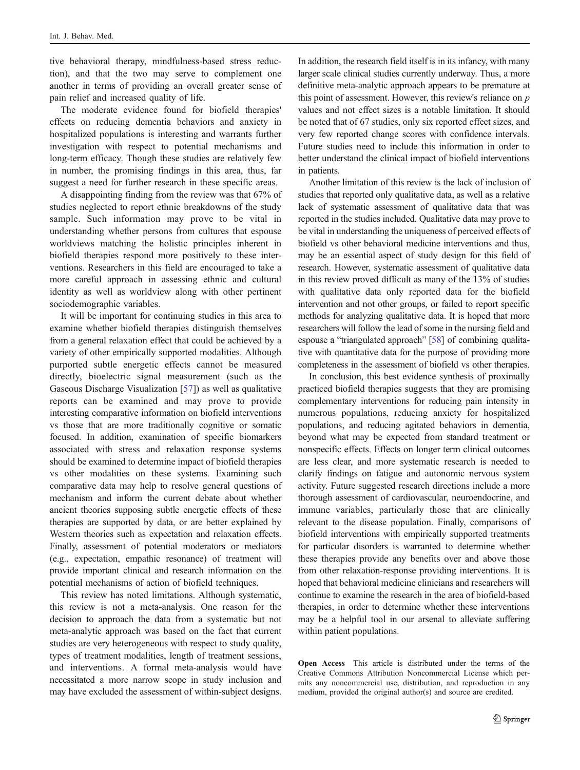tive behavioral therapy, mindfulness-based stress reduction), and that the two may serve to complement one another in terms of providing an overall greater sense of pain relief and increased quality of life.

The moderate evidence found for biofield therapies' effects on reducing dementia behaviors and anxiety in hospitalized populations is interesting and warrants further investigation with respect to potential mechanisms and long-term efficacy. Though these studies are relatively few in number, the promising findings in this area, thus, far suggest a need for further research in these specific areas.

A disappointing finding from the review was that 67% of studies neglected to report ethnic breakdowns of the study sample. Such information may prove to be vital in understanding whether persons from cultures that espouse worldviews matching the holistic principles inherent in biofield therapies respond more positively to these interventions. Researchers in this field are encouraged to take a more careful approach in assessing ethnic and cultural identity as well as worldview along with other pertinent sociodemographic variables.

It will be important for continuing studies in this area to examine whether biofield therapies distinguish themselves from a general relaxation effect that could be achieved by a variety of other empirically supported modalities. Although purported subtle energetic effects cannot be measured directly, bioelectric signal measurement (such as the Gaseous Discharge Visualization [\[57](#page-14-0)]) as well as qualitative reports can be examined and may prove to provide interesting comparative information on biofield interventions vs those that are more traditionally cognitive or somatic focused. In addition, examination of specific biomarkers associated with stress and relaxation response systems should be examined to determine impact of biofield therapies vs other modalities on these systems. Examining such comparative data may help to resolve general questions of mechanism and inform the current debate about whether ancient theories supposing subtle energetic effects of these therapies are supported by data, or are better explained by Western theories such as expectation and relaxation effects. Finally, assessment of potential moderators or mediators (e.g., expectation, empathic resonance) of treatment will provide important clinical and research information on the potential mechanisms of action of biofield techniques.

This review has noted limitations. Although systematic, this review is not a meta-analysis. One reason for the decision to approach the data from a systematic but not meta-analytic approach was based on the fact that current studies are very heterogeneous with respect to study quality, types of treatment modalities, length of treatment sessions, and interventions. A formal meta-analysis would have necessitated a more narrow scope in study inclusion and may have excluded the assessment of within-subject designs.

In addition, the research field itself is in its infancy, with many larger scale clinical studies currently underway. Thus, a more definitive meta-analytic approach appears to be premature at this point of assessment. However, this review's reliance on  $p$ values and not effect sizes is a notable limitation. It should be noted that of 67 studies, only six reported effect sizes, and very few reported change scores with confidence intervals. Future studies need to include this information in order to better understand the clinical impact of biofield interventions in patients.

Another limitation of this review is the lack of inclusion of studies that reported only qualitative data, as well as a relative lack of systematic assessment of qualitative data that was reported in the studies included. Qualitative data may prove to be vital in understanding the uniqueness of perceived effects of biofield vs other behavioral medicine interventions and thus, may be an essential aspect of study design for this field of research. However, systematic assessment of qualitative data in this review proved difficult as many of the 13% of studies with qualitative data only reported data for the biofield intervention and not other groups, or failed to report specific methods for analyzing qualitative data. It is hoped that more researchers will follow the lead of some in the nursing field and espouse a "triangulated approach" [[58](#page-14-0)] of combining qualitative with quantitative data for the purpose of providing more completeness in the assessment of biofield vs other therapies.

In conclusion, this best evidence synthesis of proximally practiced biofield therapies suggests that they are promising complementary interventions for reducing pain intensity in numerous populations, reducing anxiety for hospitalized populations, and reducing agitated behaviors in dementia, beyond what may be expected from standard treatment or nonspecific effects. Effects on longer term clinical outcomes are less clear, and more systematic research is needed to clarify findings on fatigue and autonomic nervous system activity. Future suggested research directions include a more thorough assessment of cardiovascular, neuroendocrine, and immune variables, particularly those that are clinically relevant to the disease population. Finally, comparisons of biofield interventions with empirically supported treatments for particular disorders is warranted to determine whether these therapies provide any benefits over and above those from other relaxation-response providing interventions. It is hoped that behavioral medicine clinicians and researchers will continue to examine the research in the area of biofield-based therapies, in order to determine whether these interventions may be a helpful tool in our arsenal to alleviate suffering within patient populations.

Open Access This article is distributed under the terms of the Creative Commons Attribution Noncommercial License which permits any noncommercial use, distribution, and reproduction in any medium, provided the original author(s) and source are credited.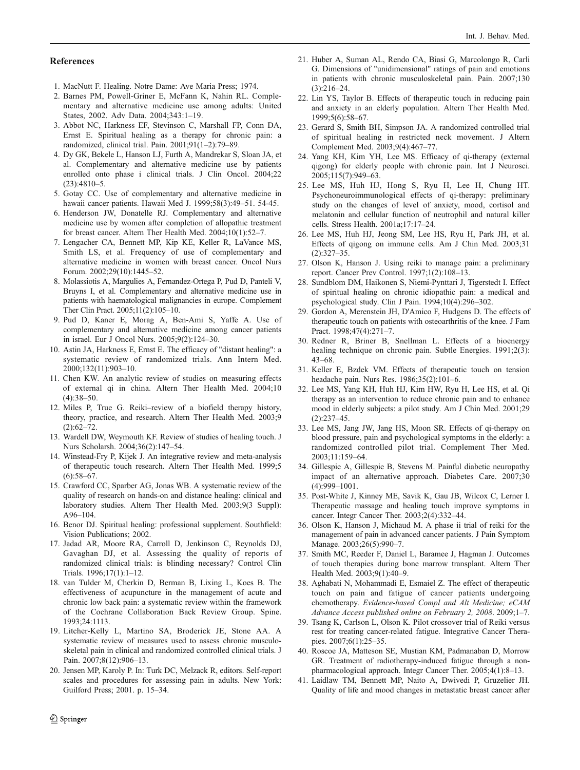#### <span id="page-13-0"></span>References

- 1. MacNutt F. Healing. Notre Dame: Ave Maria Press; 1974.
- 2. Barnes PM, Powell-Griner E, McFann K, Nahin RL. Complementary and alternative medicine use among adults: United States, 2002. Adv Data. 2004;343:1–19.
- 3. Abbot NC, Harkness EF, Stevinson C, Marshall FP, Conn DA, Ernst E. Spiritual healing as a therapy for chronic pain: a randomized, clinical trial. Pain. 2001;91(1–2):79–89.
- 4. Dy GK, Bekele L, Hanson LJ, Furth A, Mandrekar S, Sloan JA, et al. Complementary and alternative medicine use by patients enrolled onto phase i clinical trials. J Clin Oncol. 2004;22 (23):4810–5.
- 5. Gotay CC. Use of complementary and alternative medicine in hawaii cancer patients. Hawaii Med J. 1999;58(3):49–51. 54-45.
- 6. Henderson JW, Donatelle RJ. Complementary and alternative medicine use by women after completion of allopathic treatment for breast cancer. Altern Ther Health Med. 2004;10(1):52–7.
- 7. Lengacher CA, Bennett MP, Kip KE, Keller R, LaVance MS, Smith LS, et al. Frequency of use of complementary and alternative medicine in women with breast cancer. Oncol Nurs Forum. 2002;29(10):1445–52.
- 8. Molassiotis A, Margulies A, Fernandez-Ortega P, Pud D, Panteli V, Bruyns I, et al. Complementary and alternative medicine use in patients with haematological malignancies in europe. Complement Ther Clin Pract. 2005;11(2):105–10.
- 9. Pud D, Kaner E, Morag A, Ben-Ami S, Yaffe A. Use of complementary and alternative medicine among cancer patients in israel. Eur J Oncol Nurs. 2005;9(2):124–30.
- 10. Astin JA, Harkness E, Ernst E. The efficacy of "distant healing": a systematic review of randomized trials. Ann Intern Med. 2000;132(11):903–10.
- 11. Chen KW. An analytic review of studies on measuring effects of external qi in china. Altern Ther Health Med. 2004;10  $(4):38-50.$
- 12. Miles P, True G. Reiki–review of a biofield therapy history, theory, practice, and research. Altern Ther Health Med. 2003;9  $(2):62 - 72.$
- 13. Wardell DW, Weymouth KF. Review of studies of healing touch. J Nurs Scholarsh. 2004;36(2):147–54.
- 14. Winstead-Fry P, Kijek J. An integrative review and meta-analysis of therapeutic touch research. Altern Ther Health Med. 1999;5  $(6):58-67.$
- 15. Crawford CC, Sparber AG, Jonas WB. A systematic review of the quality of research on hands-on and distance healing: clinical and laboratory studies. Altern Ther Health Med. 2003;9(3 Suppl): A96–104.
- 16. Benor DJ. Spiritual healing: professional supplement. Southfield: Vision Publications; 2002.
- 17. Jadad AR, Moore RA, Carroll D, Jenkinson C, Reynolds DJ, Gavaghan DJ, et al. Assessing the quality of reports of randomized clinical trials: is blinding necessary? Control Clin Trials. 1996;17(1):1–12.
- 18. van Tulder M, Cherkin D, Berman B, Lixing L, Koes B. The effectiveness of acupuncture in the management of acute and chronic low back pain: a systematic review within the framework of the Cochrane Collaboration Back Review Group. Spine. 1993;24:1113.
- 19. Litcher-Kelly L, Martino SA, Broderick JE, Stone AA. A systematic review of measures used to assess chronic musculoskeletal pain in clinical and randomized controlled clinical trials. J Pain. 2007;8(12):906–13.
- 20. Jensen MP, Karoly P. In: Turk DC, Melzack R, editors. Self-report scales and procedures for assessing pain in adults. New York: Guilford Press; 2001. p. 15–34.
- 21. Huber A, Suman AL, Rendo CA, Biasi G, Marcolongo R, Carli G. Dimensions of "unidimensional" ratings of pain and emotions in patients with chronic musculoskeletal pain. Pain. 2007;130 (3):216–24.
- 22. Lin YS, Taylor B. Effects of therapeutic touch in reducing pain and anxiety in an elderly population. Altern Ther Health Med. 1999;5(6):58–67.
- 23. Gerard S, Smith BH, Simpson JA. A randomized controlled trial of spiritual healing in restricted neck movement. J Altern Complement Med. 2003;9(4):467–77.
- 24. Yang KH, Kim YH, Lee MS. Efficacy of qi-therapy (external qigong) for elderly people with chronic pain. Int J Neurosci. 2005;115(7):949–63.
- 25. Lee MS, Huh HJ, Hong S, Ryu H, Lee H, Chung HT. Psychoneuroimmunological effects of qi-therapy: preliminary study on the changes of level of anxiety, mood, cortisol and melatonin and cellular function of neutrophil and natural killer cells. Stress Health. 2001a;17:17–24.
- 26. Lee MS, Huh HJ, Jeong SM, Lee HS, Ryu H, Park JH, et al. Effects of qigong on immune cells. Am J Chin Med. 2003;31 (2):327–35.
- 27. Olson K, Hanson J. Using reiki to manage pain: a preliminary report. Cancer Prev Control. 1997;1(2):108–13.
- 28. Sundblom DM, Haikonen S, Niemi-Pynttari J, Tigerstedt I. Effect of spiritual healing on chronic idiopathic pain: a medical and psychological study. Clin J Pain. 1994;10(4):296–302.
- 29. Gordon A, Merenstein JH, D'Amico F, Hudgens D. The effects of therapeutic touch on patients with osteoarthritis of the knee. J Fam Pract. 1998;47(4):271–7.
- 30. Redner R, Briner B, Snellman L. Effects of a bioenergy healing technique on chronic pain. Subtle Energies. 1991;2(3): 43–68.
- 31. Keller E, Bzdek VM. Effects of therapeutic touch on tension headache pain. Nurs Res. 1986;35(2):101–6.
- 32. Lee MS, Yang KH, Huh HJ, Kim HW, Ryu H, Lee HS, et al. Qi therapy as an intervention to reduce chronic pain and to enhance mood in elderly subjects: a pilot study. Am J Chin Med. 2001;29 (2):237–45.
- 33. Lee MS, Jang JW, Jang HS, Moon SR. Effects of qi-therapy on blood pressure, pain and psychological symptoms in the elderly: a randomized controlled pilot trial. Complement Ther Med. 2003;11:159–64.
- 34. Gillespie A, Gillespie B, Stevens M. Painful diabetic neuropathy impact of an alternative approach. Diabetes Care. 2007;30 (4):999–1001.
- 35. Post-White J, Kinney ME, Savik K, Gau JB, Wilcox C, Lerner I. Therapeutic massage and healing touch improve symptoms in cancer. Integr Cancer Ther. 2003;2(4):332–44.
- 36. Olson K, Hanson J, Michaud M. A phase ii trial of reiki for the management of pain in advanced cancer patients. J Pain Symptom Manage. 2003;26(5):990–7.
- 37. Smith MC, Reeder F, Daniel L, Baramee J, Hagman J. Outcomes of touch therapies during bone marrow transplant. Altern Ther Health Med. 2003;9(1):40–9.
- 38. Aghabati N, Mohammadi E, Esmaiel Z. The effect of therapeutic touch on pain and fatigue of cancer patients undergoing chemotherapy. Evidence-based Compl and Alt Medicine; eCAM Advance Access published online on February 2, 2008. 2009;1–7.
- 39. Tsang K, Carlson L, Olson K. Pilot crossover trial of Reiki versus rest for treating cancer-related fatigue. Integrative Cancer Therapies. 2007;6(1):25–35.
- 40. Roscoe JA, Matteson SE, Mustian KM, Padmanaban D, Morrow GR. Treatment of radiotherapy-induced fatigue through a nonpharmacological approach. Integr Cancer Ther. 2005;4(1):8–13.
- 41. Laidlaw TM, Bennett MP, Naito A, Dwivedi P, Gruzelier JH. Quality of life and mood changes in metastatic breast cancer after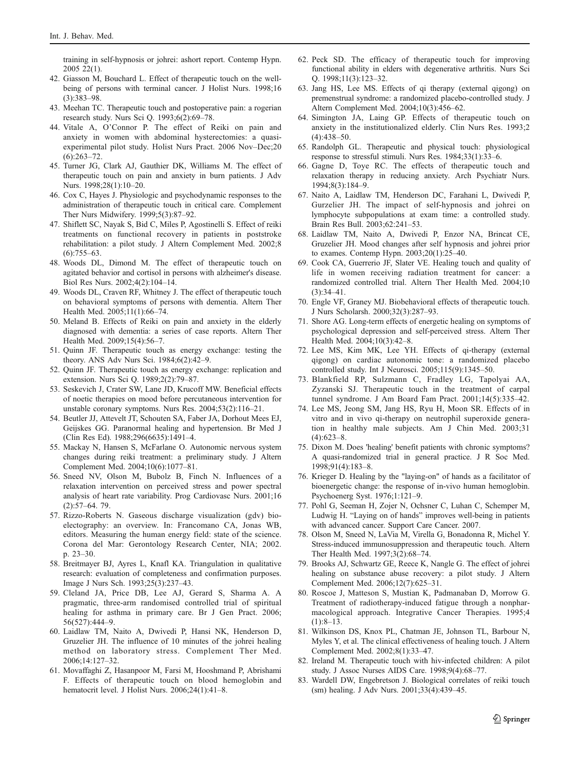<span id="page-14-0"></span>training in self-hypnosis or johrei: ashort report. Contemp Hypn. 2005 22(1).

- 42. Giasson M, Bouchard L. Effect of therapeutic touch on the wellbeing of persons with terminal cancer. J Holist Nurs. 1998;16 (3):383–98.
- 43. Meehan TC. Therapeutic touch and postoperative pain: a rogerian research study. Nurs Sci Q. 1993;6(2):69–78.
- 44. Vitale A, O'Connor P. The effect of Reiki on pain and anxiety in women with abdominal hysterectomies: a quasiexperimental pilot study. Holist Nurs Pract. 2006 Nov–Dec;20  $(6):263-72$
- 45. Turner JG, Clark AJ, Gauthier DK, Williams M. The effect of therapeutic touch on pain and anxiety in burn patients. J Adv Nurs. 1998;28(1):10–20.
- 46. Cox C, Hayes J. Physiologic and psychodynamic responses to the administration of therapeutic touch in critical care. Complement Ther Nurs Midwifery. 1999;5(3):87–92.
- 47. Shiflett SC, Nayak S, Bid C, Miles P, Agostinelli S. Effect of reiki treatments on functional recovery in patients in poststroke rehabilitation: a pilot study. J Altern Complement Med. 2002;8  $(6):755-63.$
- 48. Woods DL, Dimond M. The effect of therapeutic touch on agitated behavior and cortisol in persons with alzheimer's disease. Biol Res Nurs. 2002;4(2):104–14.
- 49. Woods DL, Craven RF, Whitney J. The effect of therapeutic touch on behavioral symptoms of persons with dementia. Altern Ther Health Med. 2005;11(1):66–74.
- 50. Meland B. Effects of Reiki on pain and anxiety in the elderly diagnosed with dementia: a series of case reports. Altern Ther Health Med. 2009;15(4):56–7.
- 51. Quinn JF. Therapeutic touch as energy exchange: testing the theory. ANS Adv Nurs Sci. 1984;6(2):42–9.
- 52. Quinn JF. Therapeutic touch as energy exchange: replication and extension. Nurs Sci Q. 1989;2(2):79–87.
- 53. Seskevich J, Crater SW, Lane JD, Krucoff MW. Beneficial effects of noetic therapies on mood before percutaneous intervention for unstable coronary symptoms. Nurs Res. 2004;53(2):116–21.
- 54. Beutler JJ, Attevelt JT, Schouten SA, Faber JA, Dorhout Mees EJ, Geijskes GG. Paranormal healing and hypertension. Br Med J (Clin Res Ed). 1988;296(6635):1491–4.
- 55. Mackay N, Hansen S, McFarlane O. Autonomic nervous system changes during reiki treatment: a preliminary study. J Altern Complement Med. 2004;10(6):1077–81.
- 56. Sneed NV, Olson M, Bubolz B, Finch N. Influences of a relaxation intervention on perceived stress and power spectral analysis of heart rate variability. Prog Cardiovasc Nurs. 2001;16 (2):57–64. 79.
- 57. Rizzo-Roberts N. Gaseous discharge visualization (gdv) bioelectography: an overview. In: Francomano CA, Jonas WB, editors. Measuring the human energy field: state of the science. Corona del Mar: Gerontology Research Center, NIA; 2002. p. 23–30.
- 58. Breitmayer BJ, Ayres L, Knafl KA. Triangulation in qualitative research: evaluation of completeness and confirmation purposes. Image J Nurs Sch. 1993;25(3):237–43.
- 59. Cleland JA, Price DB, Lee AJ, Gerard S, Sharma A. A pragmatic, three-arm randomised controlled trial of spiritual healing for asthma in primary care. Br J Gen Pract. 2006; 56(527):444–9.
- 60. Laidlaw TM, Naito A, Dwivedi P, Hansi NK, Henderson D, Gruzelier JH. The influence of 10 minutes of the johrei healing method on laboratory stress. Complement Ther Med. 2006;14:127–32.
- 61. Movaffaghi Z, Hasanpoor M, Farsi M, Hooshmand P, Abrishami F. Effects of therapeutic touch on blood hemoglobin and hematocrit level. J Holist Nurs. 2006;24(1):41–8.
- 62. Peck SD. The efficacy of therapeutic touch for improving functional ability in elders with degenerative arthritis. Nurs Sci Q. 1998;11(3):123–32.
- 63. Jang HS, Lee MS. Effects of qi therapy (external qigong) on premenstrual syndrome: a randomized placebo-controlled study. J Altern Complement Med. 2004;10(3):456–62.
- 64. Simington JA, Laing GP. Effects of therapeutic touch on anxiety in the institutionalized elderly. Clin Nurs Res. 1993;2  $(4):438-50.$
- 65. Randolph GL. Therapeutic and physical touch: physiological response to stressful stimuli. Nurs Res. 1984;33(1):33–6.
- 66. Gagne D, Toye RC. The effects of therapeutic touch and relaxation therapy in reducing anxiety. Arch Psychiatr Nurs. 1994;8(3):184–9.
- 67. Naito A, Laidlaw TM, Henderson DC, Farahani L, Dwivedi P, Gurzelier JH. The impact of self-hypnosis and johrei on lymphocyte subpopulations at exam time: a controlled study. Brain Res Bull. 2003;62:241–53.
- 68. Laidlaw TM, Naito A, Dwivedi P, Enzor NA, Brincat CE, Gruzelier JH. Mood changes after self hypnosis and johrei prior to exames. Contemp Hypn. 2003;20(1):25–40.
- 69. Cook CA, Guerrerio JF, Slater VE. Healing touch and quality of life in women receiving radiation treatment for cancer: a randomized controlled trial. Altern Ther Health Med. 2004;10  $(3):34-41.$
- 70. Engle VF, Graney MJ. Biobehavioral effects of therapeutic touch. J Nurs Scholarsh. 2000;32(3):287–93.
- 71. Shore AG. Long-term effects of energetic healing on symptoms of psychological depression and self-perceived stress. Altern Ther Health Med. 2004;10(3):42–8.
- 72. Lee MS, Kim MK, Lee YH. Effects of qi-therapy (external qigong) on cardiac autonomic tone: a randomized placebo controlled study. Int J Neurosci. 2005;115(9):1345–50.
- 73. Blankfield RP, Sulzmann C, Fradley LG, Tapolyai AA, Zyzanski SJ. Therapeutic touch in the treatment of carpal tunnel syndrome. J Am Board Fam Pract. 2001;14(5):335–42.
- 74. Lee MS, Jeong SM, Jang HS, Ryu H, Moon SR. Effects of in vitro and in vivo qi-therapy on neutrophil superoxide generation in healthy male subjects. Am J Chin Med. 2003;31  $(4):623-8.$
- 75. Dixon M. Does 'healing' benefit patients with chronic symptoms? A quasi-randomized trial in general practice. J R Soc Med. 1998;91(4):183–8.
- 76. Krieger D. Healing by the "laying-on" of hands as a facilitator of bioenergetic change: the response of in-vivo human hemoglobin. Psychoenerg Syst. 1976;1:121–9.
- 77. Pohl G, Seeman H, Zojer N, Ochsner C, Luhan C, Schemper M, Ludwig H. "Laying on of hands" improves well-being in patients with advanced cancer. Support Care Cancer. 2007.
- 78. Olson M, Sneed N, LaVia M, Virella G, Bonadonna R, Michel Y. Stress-induced immunosuppression and therapeutic touch. Altern Ther Health Med. 1997;3(2):68–74.
- 79. Brooks AJ, Schwartz GE, Reece K, Nangle G. The effect of johrei healing on substance abuse recovery: a pilot study. J Altern Complement Med. 2006;12(7):625–31.
- 80. Roscoe J, Matteson S, Mustian K, Padmanaban D, Morrow G. Treatment of radiotherapy-induced fatigue through a nonpharmacological approach. Integrative Cancer Therapies. 1995;4  $(1):8-13.$
- 81. Wilkinson DS, Knox PL, Chatman JE, Johnson TL, Barbour N, Myles Y, et al. The clinical effectiveness of healing touch. J Altern Complement Med. 2002;8(1):33–47.
- 82. Ireland M. Therapeutic touch with hiv-infected children: A pilot study. J Assoc Nurses AIDS Care. 1998;9(4):68–77.
- 83. Wardell DW, Engebretson J. Biological correlates of reiki touch (sm) healing. J Adv Nurs. 2001;33(4):439–45.